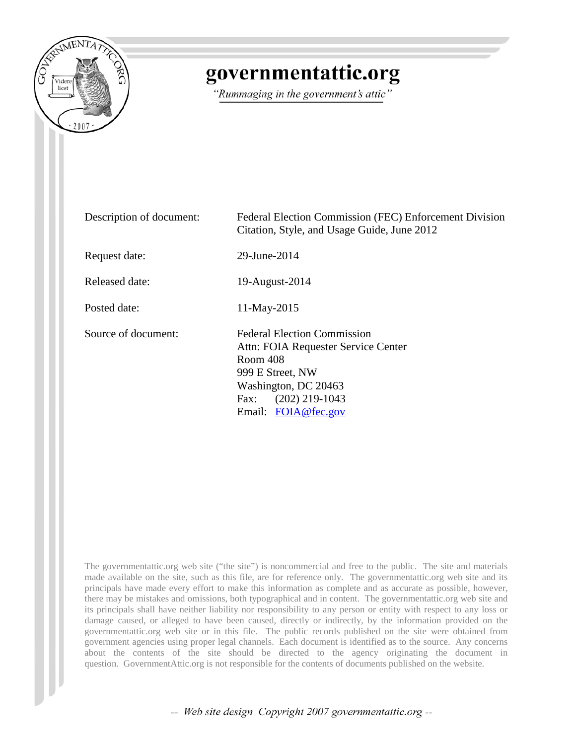

## governmentattic.org

"Rummaging in the government's attic"

| Description of document: | Federal Election Commission (FEC) Enforcement Division<br>Citation, Style, and Usage Guide, June 2012                                                                                |
|--------------------------|--------------------------------------------------------------------------------------------------------------------------------------------------------------------------------------|
| Request date:            | 29-June-2014                                                                                                                                                                         |
| <b>Released date:</b>    | 19-August-2014                                                                                                                                                                       |
| Posted date:             | 11-May-2015                                                                                                                                                                          |
| Source of document:      | <b>Federal Election Commission</b><br>Attn: FOIA Requester Service Center<br>Room 408<br>999 E Street, NW<br>Washington, DC 20463<br>$(202)$ 219-1043<br>Fax:<br>Email: FOIA@fec.gov |

The governmentattic.org web site ("the site") is noncommercial and free to the public. The site and materials made available on the site, such as this file, are for reference only. The governmentattic.org web site and its principals have made every effort to make this information as complete and as accurate as possible, however, there may be mistakes and omissions, both typographical and in content. The governmentattic.org web site and its principals shall have neither liability nor responsibility to any person or entity with respect to any loss or damage caused, or alleged to have been caused, directly or indirectly, by the information provided on the governmentattic.org web site or in this file. The public records published on the site were obtained from government agencies using proper legal channels. Each document is identified as to the source. Any concerns about the contents of the site should be directed to the agency originating the document in question. GovernmentAttic.org is not responsible for the contents of documents published on the website.

-- Web site design Copyright 2007 governmentattic.org --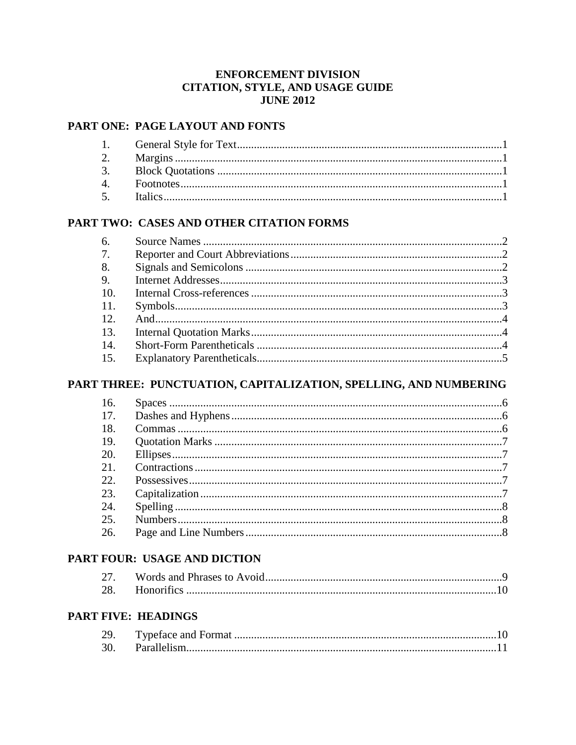#### **ENFORCEMENT DIVISION** CITATION, STYLE, AND USAGE GUIDE **JUNE 2012**

#### PART ONE: PAGE LAYOUT AND FONTS

#### PART TWO: CASES AND OTHER CITATION FORMS

| 6.  |  |
|-----|--|
| 7.  |  |
| 8.  |  |
| 9.  |  |
| 10. |  |
| 11. |  |
| 12. |  |
| 13. |  |
| 14. |  |
| 15. |  |

#### PART THREE: PUNCTUATION, CAPITALIZATION, SPELLING, AND NUMBERING

| 16.           |  |
|---------------|--|
| 17.           |  |
| <sup>18</sup> |  |
| -19.          |  |
| 20.           |  |
| 21.           |  |
| 22.           |  |
| 23.           |  |
| 24.           |  |
| 25.           |  |
| 26.           |  |

#### PART FOUR: USAGE AND DICTION

| 27. |  |
|-----|--|
|     |  |

#### **PART FIVE: HEADINGS**

| 29. |  |
|-----|--|
| 30. |  |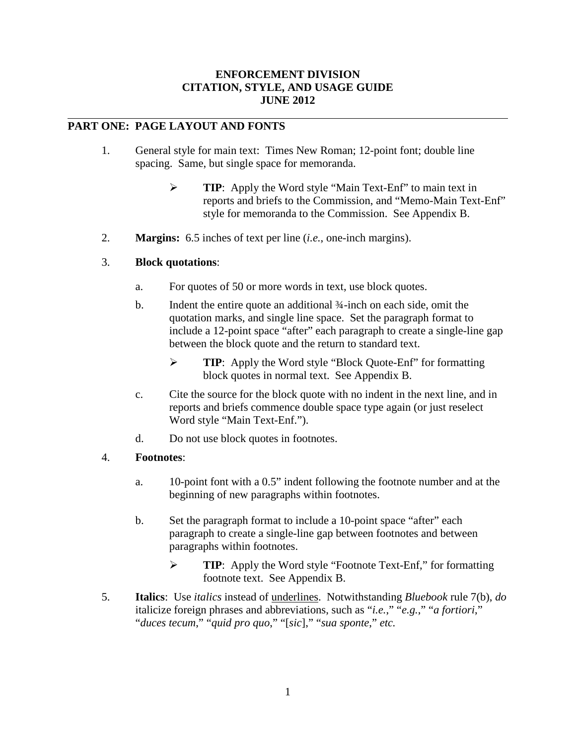#### **ENFORCEMENT DIVISION CITATION, STYLE, AND USAGE GUIDE JUNE 2012**

#### **PART ONE: PAGE LAYOUT AND FONTS**

- 1. General style for main text: Times New Roman; 12-point font; double line spacing. Same, but single space for memoranda.
	- **TIP**: Apply the Word style "Main Text-Enf" to main text in reports and briefs to the Commission, and "Memo-Main Text-Enf" style for memoranda to the Commission. See Appendix B.
- 2. **Margins:** 6.5 inches of text per line (*i.e.*, one-inch margins).

#### 3. **Block quotations**:

- a. For quotes of 50 or more words in text, use block quotes.
- b. Indent the entire quote an additional 34-inch on each side, omit the quotation marks, and single line space. Set the paragraph format to include a 12-point space "after" each paragraph to create a single-line gap between the block quote and the return to standard text.
	- **TIP**: Apply the Word style "Block Quote-Enf" for formatting block quotes in normal text. See Appendix B.
- c. Cite the source for the block quote with no indent in the next line, and in reports and briefs commence double space type again (or just reselect Word style "Main Text-Enf.").
- d. Do not use block quotes in footnotes.

#### 4. **Footnotes**:

- a. 10-point font with a 0.5" indent following the footnote number and at the beginning of new paragraphs within footnotes.
- b. Set the paragraph format to include a 10-point space "after" each paragraph to create a single-line gap between footnotes and between paragraphs within footnotes.
	- **TIP**: Apply the Word style "Footnote Text-Enf," for formatting footnote text. See Appendix B.
- 5. **Italics**: Use *italics* instead of underlines. Notwithstanding *Bluebook* rule 7(b), *do* italicize foreign phrases and abbreviations, such as "*i.e.*," "*e.g.*," "*a fortiori*," "*duces tecum*," "*quid pro quo*," "[*sic*]," "*sua sponte*," *etc.*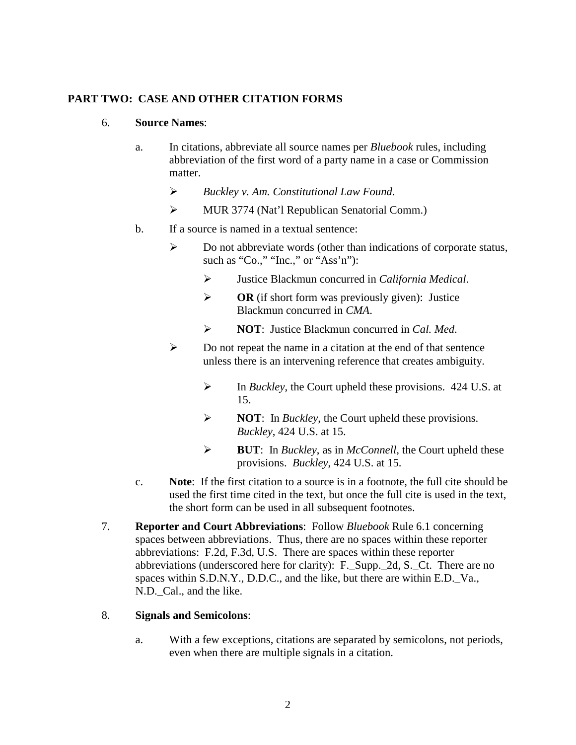#### **PART TWO: CASE AND OTHER CITATION FORMS**

#### 6. **Source Names**:

- a. In citations, abbreviate all source names per *Bluebook* rules, including abbreviation of the first word of a party name in a case or Commission matter.
	- *Buckley v. Am. Constitutional Law Found.*
	- MUR 3774 (Nat'l Republican Senatorial Comm.)
- b. If a source is named in a textual sentence:
	- $\triangleright$  Do not abbreviate words (other than indications of corporate status, such as "Co.," "Inc.," or "Ass'n"):
		- Justice Blackmun concurred in *California Medical*.
		- $\triangleright$  **OR** (if short form was previously given): Justice Blackmun concurred in *CMA*.
		- **NOT**: Justice Blackmun concurred in *Cal. Med*.
	- $\triangleright$  Do not repeat the name in a citation at the end of that sentence unless there is an intervening reference that creates ambiguity.
		- In *Buckley*, the Court upheld these provisions. 424 U.S. at 15.
		- **NOT**: In *Buckley*, the Court upheld these provisions. *Buckley*, 424 U.S. at 15.
		- **BUT**: In *Buckley*, as in *McConnell*, the Court upheld these provisions. *Buckley*, 424 U.S. at 15.
- c. **Note**: If the first citation to a source is in a footnote, the full cite should be used the first time cited in the text, but once the full cite is used in the text, the short form can be used in all subsequent footnotes.
- 7. **Reporter and Court Abbreviations**: Follow *Bluebook* Rule 6.1 concerning spaces between abbreviations. Thus, there are no spaces within these reporter abbreviations: F.2d, F.3d, U.S. There are spaces within these reporter abbreviations (underscored here for clarity): F.\_Supp.\_2d, S.\_Ct. There are no spaces within S.D.N.Y., D.D.C., and the like, but there are within E.D. Va., N.D. Cal., and the like.

#### 8. **Signals and Semicolons**:

a. With a few exceptions, citations are separated by semicolons, not periods, even when there are multiple signals in a citation.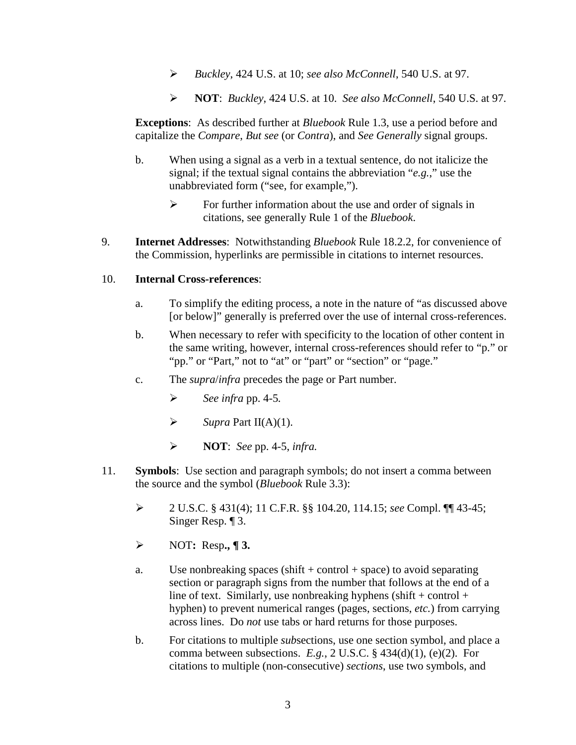- *Buckley*, 424 U.S. at 10; *see also McConnell*, 540 U.S. at 97.
- **NOT**: *Buckley*, 424 U.S. at 10. *See also McConnell*, 540 U.S. at 97.

**Exceptions**: As described further at *Bluebook* Rule 1.3, use a period before and capitalize the *Compare*, *But see* (or *Contra*), and *See Generally* signal groups.

- b. When using a signal as a verb in a textual sentence, do not italicize the signal; if the textual signal contains the abbreviation "*e.g.*," use the unabbreviated form ("see, for example,").
	- $\triangleright$  For further information about the use and order of signals in citations, see generally Rule 1 of the *Bluebook*.
- 9. **Internet Addresses**: Notwithstanding *Bluebook* Rule 18.2.2, for convenience of the Commission, hyperlinks are permissible in citations to internet resources.

#### 10. **Internal Cross-references**:

- a. To simplify the editing process, a note in the nature of "as discussed above [or below]" generally is preferred over the use of internal cross-references.
- b. When necessary to refer with specificity to the location of other content in the same writing, however, internal cross-references should refer to "p." or "pp." or "Part," not to "at" or "part" or "section" or "page."
- c. The *supra*/*infra* precedes the page or Part number.
	- *See infra* pp. 4-5*.*
	- $\triangleright$  *Supra* Part II(A)(1).
	- **NOT**: *See* pp. 4-5, *infra.*
- 11. **Symbols**: Use section and paragraph symbols; do not insert a comma between the source and the symbol (*Bluebook* Rule 3.3):
	- 2 U.S.C. § 431(4); 11 C.F.R. §§ 104.20, 114.15; *see* Compl. ¶¶ 43-45; Singer Resp. ¶ 3.
	- NOT**:** Resp**., ¶ 3.**
	- a. Use nonbreaking spaces (shift  $+$  control  $+$  space) to avoid separating section or paragraph signs from the number that follows at the end of a line of text. Similarly, use nonbreaking hyphens (shift + control + hyphen) to prevent numerical ranges (pages, sections, *etc.*) from carrying across lines. Do *not* use tabs or hard returns for those purposes.
	- b. For citations to multiple *sub*sections, use one section symbol, and place a comma between subsections. *E.g.*, 2 U.S.C. § 434(d)(1), (e)(2). For citations to multiple (non-consecutive) *sections*, use two symbols, and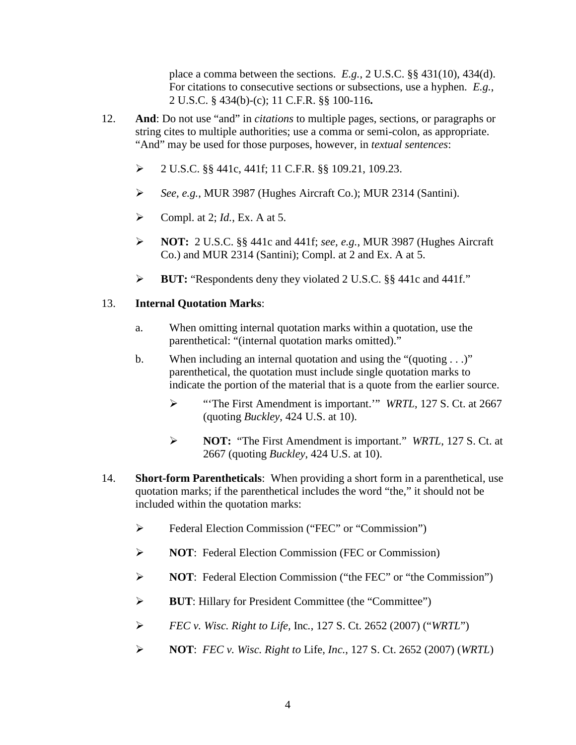place a comma between the sections. *E.g.*, 2 U.S.C. §§ 431(10), 434(d). For citations to consecutive sections or subsections, use a hyphen. *E.g.*, 2 U.S.C. § 434(b)-(c); 11 C.F.R. §§ 100-116**.**

- 12. **And**: Do not use "and" in *citations* to multiple pages, sections, or paragraphs or string cites to multiple authorities; use a comma or semi-colon, as appropriate. "And" may be used for those purposes, however, in *textual sentences*:
	- 2 U.S.C. §§ 441c, 441f; 11 C.F.R. §§ 109.21, 109.23.
	- *See, e.g.*, MUR 3987 (Hughes Aircraft Co.); MUR 2314 (Santini).
	- $\triangleright$  Compl. at 2; *Id.*, Ex. A at 5.
	- **NOT:** 2 U.S.C. §§ 441c and 441f; *see, e.g.*, MUR 3987 (Hughes Aircraft Co.) and MUR 2314 (Santini); Compl. at 2 and Ex. A at 5.
	- **BUT:** "Respondents deny they violated 2 U.S.C. §§ 441c and 441f."

#### 13. **Internal Quotation Marks**:

- a. When omitting internal quotation marks within a quotation, use the parenthetical: "(internal quotation marks omitted)."
- b. When including an internal quotation and using the "(quoting . . .)" parenthetical, the quotation must include single quotation marks to indicate the portion of the material that is a quote from the earlier source.
	- "'The First Amendment is important.'" *WRTL*, 127 S. Ct. at 2667 (quoting *Buckley*, 424 U.S. at 10).
	- **NOT:** "The First Amendment is important." *WRTL*, 127 S. Ct. at 2667 (quoting *Buckley*, 424 U.S. at 10).
- 14. **Short-form Parentheticals**: When providing a short form in a parenthetical, use quotation marks; if the parenthetical includes the word "the," it should not be included within the quotation marks:
	- $\triangleright$  Federal Election Commission ("FEC" or "Commission")
	- **NOT:** Federal Election Commission (FEC or Commission)
	- **NOT:** Federal Election Commission ("the FEC" or "the Commission")
	- **BUT**: Hillary for President Committee (the "Committee")
	- *FEC v. Wisc. Right to Life,* Inc*.*, 127 S. Ct. 2652 (2007) ("*WRTL*")
	- **NOT**: *FEC v. Wisc. Right to* Life*, Inc.*, 127 S. Ct. 2652 (2007) (*WRTL*)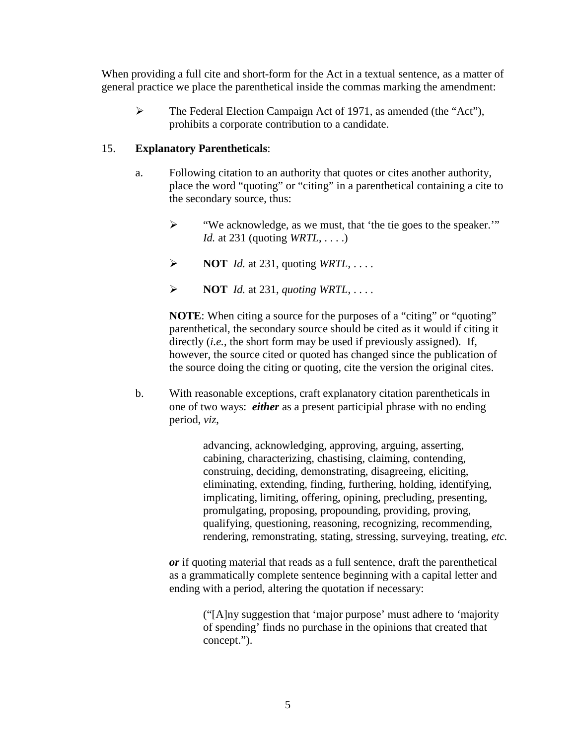When providing a full cite and short-form for the Act in a textual sentence, as a matter of general practice we place the parenthetical inside the commas marking the amendment:

 The Federal Election Campaign Act of 1971, as amended (the "Act"), prohibits a corporate contribution to a candidate.

#### 15. **Explanatory Parentheticals**:

- a. Following citation to an authority that quotes or cites another authority, place the word "quoting" or "citing" in a parenthetical containing a cite to the secondary source, thus:
	- "We acknowledge, as we must, that 'the tie goes to the speaker.'" *Id.* at 231 (quoting *WRTL*, . . . .)
	- $\triangleright$  **NOT** *Id.* at 231, quoting *WRTL*, ...
	- $\triangleright$  **NOT** *Id.* at 231, *quoting WRTL*, ...

**NOTE:** When citing a source for the purposes of a "citing" or "quoting" parenthetical, the secondary source should be cited as it would if citing it directly (*i.e.*, the short form may be used if previously assigned). If, however, the source cited or quoted has changed since the publication of the source doing the citing or quoting, cite the version the original cites.

b. With reasonable exceptions, craft explanatory citation parentheticals in one of two ways: *either* as a present participial phrase with no ending period, *viz*,

> advancing, acknowledging, approving, arguing, asserting, cabining, characterizing, chastising, claiming, contending, construing, deciding, demonstrating, disagreeing, eliciting, eliminating, extending, finding, furthering, holding, identifying, implicating, limiting, offering, opining, precluding, presenting, promulgating, proposing, propounding, providing, proving, qualifying, questioning, reasoning, recognizing, recommending, rendering, remonstrating, stating, stressing, surveying, treating, *etc.*

*or* if quoting material that reads as a full sentence, draft the parenthetical as a grammatically complete sentence beginning with a capital letter and ending with a period, altering the quotation if necessary:

> ("[A]ny suggestion that 'major purpose' must adhere to 'majority of spending' finds no purchase in the opinions that created that concept.").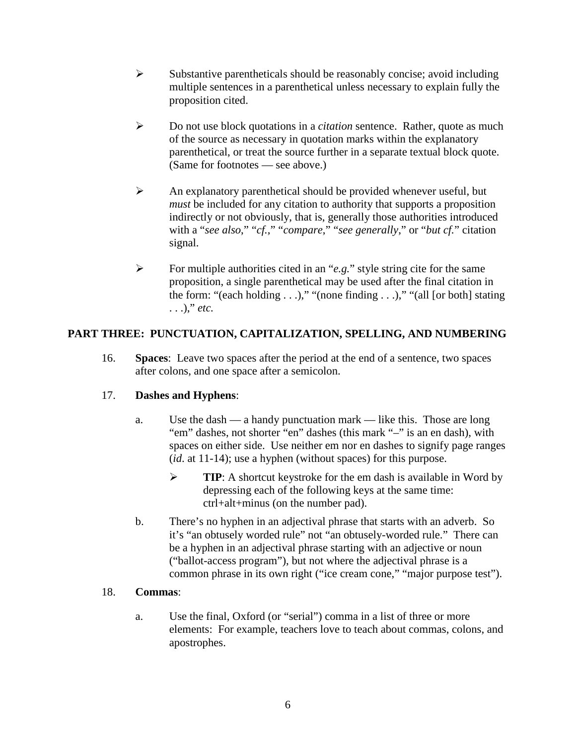- $\triangleright$  Substantive parentheticals should be reasonably concise; avoid including multiple sentences in a parenthetical unless necessary to explain fully the proposition cited.
- Do not use block quotations in a *citation* sentence. Rather, quote as much of the source as necessary in quotation marks within the explanatory parenthetical, or treat the source further in a separate textual block quote. (Same for footnotes — see above.)
- $\triangleright$  An explanatory parenthetical should be provided whenever useful, but *must* be included for any citation to authority that supports a proposition indirectly or not obviously, that is, generally those authorities introduced with a "*see also*," "*cf.*," "*compare*," "*see generally*," or "*but cf.*" citation signal.
- For multiple authorities cited in an "*e.g.*" style string cite for the same proposition, a single parenthetical may be used after the final citation in the form: "(each holding  $\dots$ )," "(none finding  $\dots$ )," "(all [or both] stating . . .)," *etc.*

#### **PART THREE: PUNCTUATION, CAPITALIZATION, SPELLING, AND NUMBERING**

16. **Spaces**: Leave two spaces after the period at the end of a sentence, two spaces after colons, and one space after a semicolon.

#### 17. **Dashes and Hyphens**:

- a. Use the dash a handy punctuation mark like this. Those are long "em" dashes, not shorter "en" dashes (this mark "–" is an en dash), with spaces on either side. Use neither em nor en dashes to signify page ranges (*id*. at 11-14); use a hyphen (without spaces) for this purpose.
	- **TIP:** A shortcut keystroke for the em dash is available in Word by depressing each of the following keys at the same time: ctrl+alt+minus (on the number pad).
- b. There's no hyphen in an adjectival phrase that starts with an adverb. So it's "an obtusely worded rule" not "an obtusely-worded rule." There can be a hyphen in an adjectival phrase starting with an adjective or noun ("ballot-access program"), but not where the adjectival phrase is a common phrase in its own right ("ice cream cone," "major purpose test").

#### 18. **Commas**:

a. Use the final, Oxford (or "serial") comma in a list of three or more elements: For example, teachers love to teach about commas, colons, and apostrophes.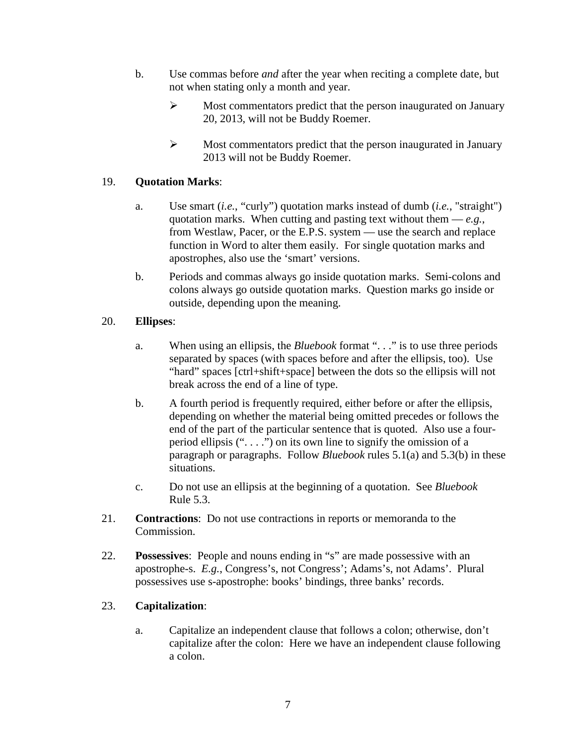- b. Use commas before *and* after the year when reciting a complete date, but not when stating only a month and year.
	- $\triangleright$  Most commentators predict that the person inaugurated on January 20, 2013, will not be Buddy Roemer.
	- $\triangleright$  Most commentators predict that the person inaugurated in January 2013 will not be Buddy Roemer.

#### 19. **Quotation Marks**:

- a. Use smart (*i.e.*, "curly") quotation marks instead of dumb (*i.e.*, "straight") quotation marks. When cutting and pasting text without them  $-e.g.,$ from Westlaw, Pacer, or the E.P.S. system — use the search and replace function in Word to alter them easily. For single quotation marks and apostrophes, also use the 'smart' versions.
- b. Periods and commas always go inside quotation marks. Semi-colons and colons always go outside quotation marks. Question marks go inside or outside, depending upon the meaning.

#### 20. **Ellipses**:

- a. When using an ellipsis, the *Bluebook* format ". . ." is to use three periods separated by spaces (with spaces before and after the ellipsis, too). Use "hard" spaces [ctrl+shift+space] between the dots so the ellipsis will not break across the end of a line of type.
- b. A fourth period is frequently required, either before or after the ellipsis, depending on whether the material being omitted precedes or follows the end of the part of the particular sentence that is quoted. Also use a fourperiod ellipsis  $($ "....") on its own line to signify the omission of a paragraph or paragraphs. Follow *Bluebook* rules 5.1(a) and 5.3(b) in these situations.
- c. Do not use an ellipsis at the beginning of a quotation. See *Bluebook* Rule 5.3.
- 21. **Contractions**: Do not use contractions in reports or memoranda to the Commission.
- 22. **Possessives**: People and nouns ending in "s" are made possessive with an apostrophe-s. *E.g.*, Congress's, not Congress'; Adams's, not Adams'. Plural possessives use s-apostrophe: books' bindings, three banks' records.

#### 23. **Capitalization**:

a. Capitalize an independent clause that follows a colon; otherwise, don't capitalize after the colon: Here we have an independent clause following a colon.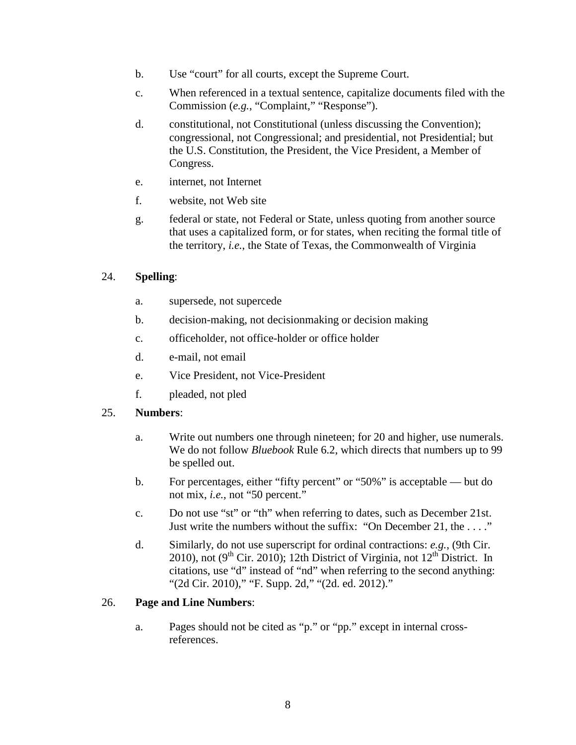- b. Use "court" for all courts, except the Supreme Court.
- c. When referenced in a textual sentence, capitalize documents filed with the Commission (*e.g.*, "Complaint," "Response").
- d. constitutional, not Constitutional (unless discussing the Convention); congressional, not Congressional; and presidential, not Presidential; but the U.S. Constitution, the President, the Vice President, a Member of Congress.
- e. internet, not Internet
- f. website, not Web site
- g. federal or state, not Federal or State, unless quoting from another source that uses a capitalized form, or for states, when reciting the formal title of the territory, *i.e.*, the State of Texas, the Commonwealth of Virginia

#### 24. **Spelling**:

- a. supersede, not supercede
- b. decision-making, not decisionmaking or decision making
- c. officeholder, not office-holder or office holder
- d. e-mail, not email
- e. Vice President, not Vice-President
- f. pleaded, not pled

#### 25. **Numbers**:

- a. Write out numbers one through nineteen; for 20 and higher, use numerals. We do not follow *Bluebook* Rule 6.2, which directs that numbers up to 99 be spelled out.
- b. For percentages, either "fifty percent" or "50%" is acceptable but do not mix, *i.e.*, not "50 percent."
- c. Do not use "st" or "th" when referring to dates, such as December 21st. Just write the numbers without the suffix: "On December 21, the . . . ."
- d. Similarly, do not use superscript for ordinal contractions: *e.g.*, (9th Cir. 2010), not (9<sup>th</sup> Cir. 2010); 12th District of Virginia, not  $12<sup>th</sup>$  District. In citations, use "d" instead of "nd" when referring to the second anything: "(2d Cir. 2010)," "F. Supp. 2d," "(2d. ed. 2012)."

#### 26. **Page and Line Numbers**:

a. Pages should not be cited as "p." or "pp." except in internal crossreferences.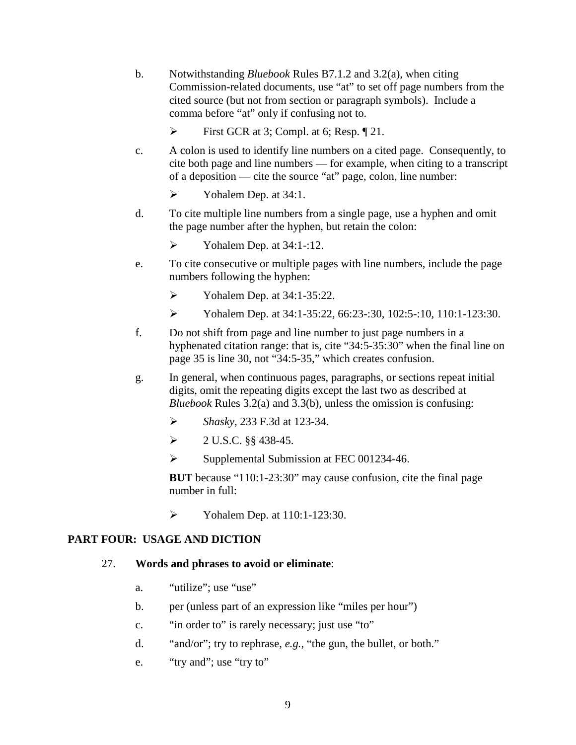- b. Notwithstanding *Bluebook* Rules B7.1.2 and 3.2(a), when citing Commission-related documents, use "at" to set off page numbers from the cited source (but not from section or paragraph symbols). Include a comma before "at" only if confusing not to.
	- First GCR at 3; Compl. at 6; Resp. ¶ 21.
- c. A colon is used to identify line numbers on a cited page. Consequently, to cite both page and line numbers — for example, when citing to a transcript of a deposition — cite the source "at" page, colon, line number:
	- $\triangleright$  Yohalem Dep. at 34:1.
- d. To cite multiple line numbers from a single page, use a hyphen and omit the page number after the hyphen, but retain the colon:
	- $\triangleright$  Yohalem Dep. at 34:1-:12.
- e. To cite consecutive or multiple pages with line numbers, include the page numbers following the hyphen:
	- $\triangleright$  Yohalem Dep. at 34:1-35:22.
	- Yohalem Dep. at 34:1-35:22, 66:23-:30, 102:5-:10, 110:1-123:30.
- f. Do not shift from page and line number to just page numbers in a hyphenated citation range: that is, cite "34:5-35:30" when the final line on page 35 is line 30, not "34:5-35," which creates confusion.
- g. In general, when continuous pages, paragraphs, or sections repeat initial digits, omit the repeating digits except the last two as described at *Bluebook* Rules 3.2(a) and 3.3(b), unless the omission is confusing:
	- *Shasky*, 233 F.3d at 123-34.
	- $\geq 2$  U.S.C. §§ 438-45.
	- $\triangleright$  Supplemental Submission at FEC 001234-46.

**BUT** because "110:1-23:30" may cause confusion, cite the final page number in full:

 $\triangleright$  Yohalem Dep. at 110:1-123:30.

#### **PART FOUR: USAGE AND DICTION**

#### 27. **Words and phrases to avoid or eliminate**:

- a. "utilize"; use "use"
- b. per (unless part of an expression like "miles per hour")
- c. "in order to" is rarely necessary; just use "to"
- d. "and/or"; try to rephrase, *e.g.*, "the gun, the bullet, or both."
- e. "try and"; use "try to"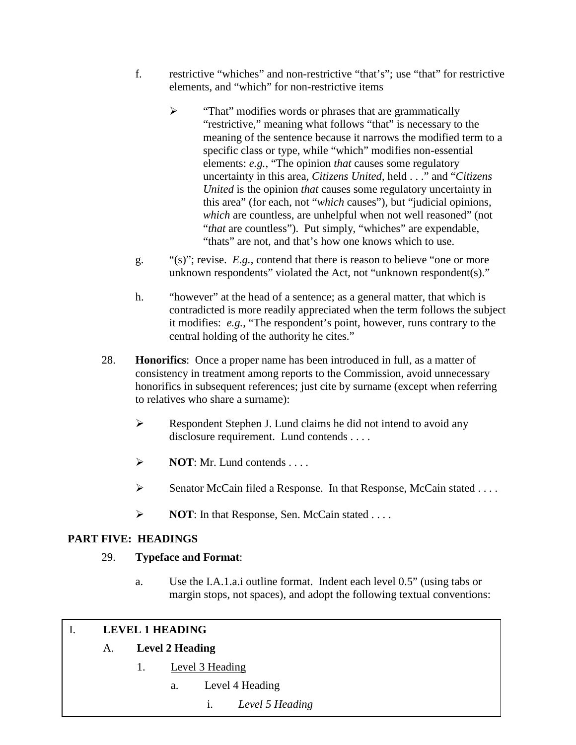- f. restrictive "whiches" and non-restrictive "that's"; use "that" for restrictive elements, and "which" for non-restrictive items
	- > "That" modifies words or phrases that are grammatically "restrictive," meaning what follows "that" is necessary to the meaning of the sentence because it narrows the modified term to a specific class or type, while "which" modifies non-essential elements: *e.g.*, "The opinion *that* causes some regulatory uncertainty in this area, *Citizens United*, held . . ." and "*Citizens United* is the opinion *that* causes some regulatory uncertainty in this area" (for each, not "*which* causes"), but "judicial opinions, *which* are countless, are unhelpful when not well reasoned" (not "*that* are countless"). Put simply, "whiches" are expendable, "thats" are not, and that's how one knows which to use.
- g. "(s)"; revise. *E.g.*, contend that there is reason to believe "one or more unknown respondents" violated the Act, not "unknown respondent(s)."
- h. "however" at the head of a sentence; as a general matter, that which is contradicted is more readily appreciated when the term follows the subject it modifies: *e.g.*, "The respondent's point, however, runs contrary to the central holding of the authority he cites."
- 28. **Honorifics**: Once a proper name has been introduced in full, as a matter of consistency in treatment among reports to the Commission, avoid unnecessary honorifics in subsequent references; just cite by surname (except when referring to relatives who share a surname):
	- $\triangleright$  Respondent Stephen J. Lund claims he did not intend to avoid any disclosure requirement. Lund contends . . . .
	- $\triangleright$  **NOT**: Mr. Lund contends . . . .
	- $\triangleright$  Senator McCain filed a Response. In that Response, McCain stated ...
	- **NOT:** In that Response, Sen. McCain stated . . . .

#### **PART FIVE: HEADINGS**

#### 29. **Typeface and Format**:

a. Use the I.A.1.a.i outline format. Indent each level 0.5" (using tabs or margin stops, not spaces), and adopt the following textual conventions:

# **I. LEVEL 1 HEADING**<br>**A. Level 2 Headin**

#### A. **Level 2 Heading**

- 1. Level 3 Heading
	- a. Level 4 Heading
		- i. *Level 5 Heading*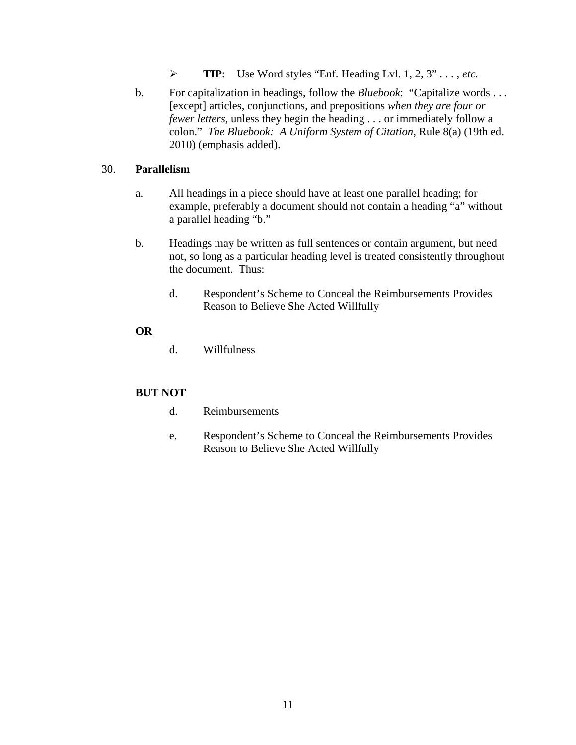- **TIP**: Use Word styles "Enf. Heading Lvl. 1, 2, 3" . . . , *etc.*
- b. For capitalization in headings, follow the *Bluebook*: "Capitalize words . . . [except] articles, conjunctions, and prepositions *when they are four or fewer letters*, unless they begin the heading . . . or immediately follow a colon." *The Bluebook: A Uniform System of Citation*, Rule 8(a) (19th ed. 2010) (emphasis added).

#### 30. **Parallelism**

- a. All headings in a piece should have at least one parallel heading; for example, preferably a document should not contain a heading "a" without a parallel heading "b."
- b. Headings may be written as full sentences or contain argument, but need not, so long as a particular heading level is treated consistently throughout the document. Thus:
	- d. Respondent's Scheme to Conceal the Reimbursements Provides Reason to Believe She Acted Willfully

#### **OR**

d. Willfulness

#### **BUT NOT**

- d. Reimbursements
- e. Respondent's Scheme to Conceal the Reimbursements Provides Reason to Believe She Acted Willfully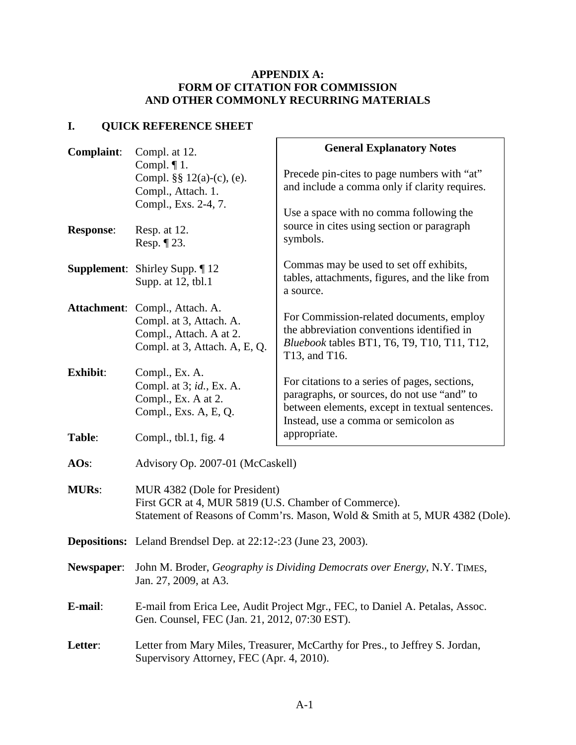#### **APPENDIX A: FORM OF CITATION FOR COMMISSION AND OTHER COMMONLY RECURRING MATERIALS**

### **I. QUICK REFERENCE SHEET**

| <b>Complaint:</b> | Compl. at 12.                                                                                                                                                        | <b>General Explanatory Notes</b>                                                                                                                                                       |
|-------------------|----------------------------------------------------------------------------------------------------------------------------------------------------------------------|----------------------------------------------------------------------------------------------------------------------------------------------------------------------------------------|
|                   | Compl. $\P$ 1.<br>Compl. $\S\S 12(a)-(c)$ , (e).<br>Compl., Attach. 1.                                                                                               | Precede pin-cites to page numbers with "at"<br>and include a comma only if clarity requires.                                                                                           |
| <b>Response:</b>  | Compl., Exs. 2-4, 7.<br>Resp. at 12.<br>Resp. $\P$ 23.                                                                                                               | Use a space with no comma following the<br>source in cites using section or paragraph<br>symbols.                                                                                      |
|                   | <b>Supplement:</b> Shirley Supp. 12<br>Supp. at 12, tbl.1                                                                                                            | Commas may be used to set off exhibits,<br>tables, attachments, figures, and the like from<br>a source.                                                                                |
|                   | Attachment: Compl., Attach. A.<br>Compl. at 3, Attach. A.<br>Compl., Attach. A at 2.<br>Compl. at 3, Attach. A, E, Q.                                                | For Commission-related documents, employ<br>the abbreviation conventions identified in<br>Bluebook tables BT1, T6, T9, T10, T11, T12,<br>T13, and T16.                                 |
| <b>Exhibit:</b>   | Compl., Ex. A.<br>Compl. at 3; id., Ex. A.<br>Compl., Ex. A at 2.<br>Compl., Exs. A, E, Q.                                                                           | For citations to a series of pages, sections,<br>paragraphs, or sources, do not use "and" to<br>between elements, except in textual sentences.<br>Instead, use a comma or semicolon as |
| Table:            | Compl., tbl.1, fig. $4$                                                                                                                                              | appropriate.                                                                                                                                                                           |
| AOS:              | Advisory Op. 2007-01 (McCaskell)                                                                                                                                     |                                                                                                                                                                                        |
| <b>MURs:</b>      | MUR 4382 (Dole for President)<br>First GCR at 4, MUR 5819 (U.S. Chamber of Commerce).<br>Statement of Reasons of Comm'rs. Mason, Wold & Smith at 5, MUR 4382 (Dole). |                                                                                                                                                                                        |
|                   | <b>Depositions:</b> Leland Brendsel Dep. at 22:12-:23 (June 23, 2003).                                                                                               |                                                                                                                                                                                        |
| Newspaper:        | John M. Broder, Geography is Dividing Democrats over Energy, N.Y. TIMES,<br>Jan. 27, 2009, at A3.                                                                    |                                                                                                                                                                                        |
| E-mail:           | E-mail from Erica Lee, Audit Project Mgr., FEC, to Daniel A. Petalas, Assoc.<br>Gen. Counsel, FEC (Jan. 21, 2012, 07:30 EST).                                        |                                                                                                                                                                                        |
| Letter:           | Letter from Mary Miles, Treasurer, McCarthy for Pres., to Jeffrey S. Jordan,<br>Supervisory Attorney, FEC (Apr. 4, 2010).                                            |                                                                                                                                                                                        |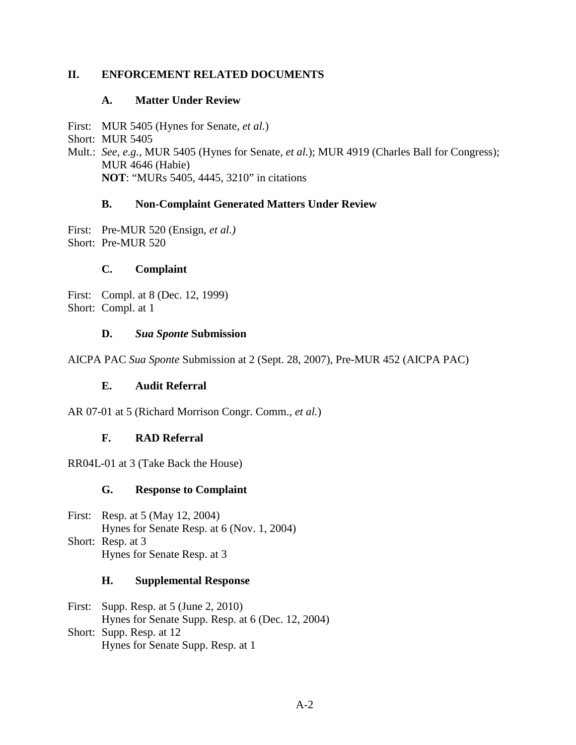#### **II. ENFORCEMENT RELATED DOCUMENTS**

#### **A. Matter Under Review**

First: MUR 5405 (Hynes for Senate, *et al.*)

Short: MUR 5405

Mult.: *See, e.g.*, MUR 5405 (Hynes for Senate, *et al.*); MUR 4919 (Charles Ball for Congress); MUR 4646 (Habie) **NOT**: "MURs 5405, 4445, 3210" in citations

#### **B. Non-Complaint Generated Matters Under Review**

First: Pre-MUR 520 (Ensign, *et al.)* Short: Pre-MUR 520

#### **C. Complaint**

First: Compl. at 8 (Dec. 12, 1999) Short: Compl. at 1

#### **D.** *Sua Sponte* **Submission**

AICPA PAC *Sua Sponte* Submission at 2 (Sept. 28, 2007), Pre-MUR 452 (AICPA PAC)

#### **E. Audit Referral**

AR 07-01 at 5 (Richard Morrison Congr. Comm., *et al.*)

#### **F. RAD Referral**

RR04L-01 at 3 (Take Back the House)

#### **G. Response to Complaint**

First: Resp. at 5 (May 12, 2004) Hynes for Senate Resp. at 6 (Nov. 1, 2004) Short: Resp. at 3 Hynes for Senate Resp. at 3

#### **H. Supplemental Response**

First: Supp. Resp. at 5 (June 2, 2010) Hynes for Senate Supp. Resp. at 6 (Dec. 12, 2004) Short: Supp. Resp. at 12 Hynes for Senate Supp. Resp. at 1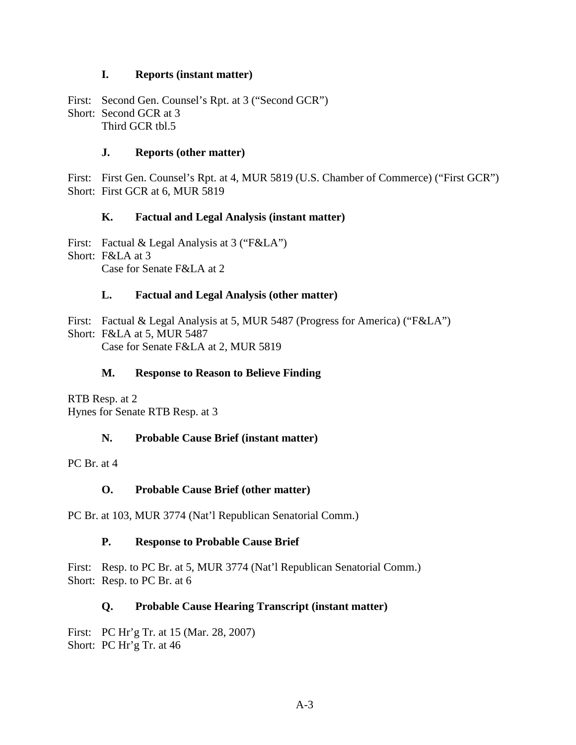#### **I. Reports (instant matter)**

First: Second Gen. Counsel's Rpt. at 3 ("Second GCR") Short: Second GCR at 3 Third GCR tbl.5

#### **J. Reports (other matter)**

First: First Gen. Counsel's Rpt. at 4, MUR 5819 (U.S. Chamber of Commerce) ("First GCR") Short: First GCR at 6, MUR 5819

#### **K. Factual and Legal Analysis (instant matter)**

First: Factual & Legal Analysis at 3 ("F&LA") Short: F&LA at 3 Case for Senate F&LA at 2

#### **L. Factual and Legal Analysis (other matter)**

First: Factual & Legal Analysis at 5, MUR 5487 (Progress for America) ("F&LA") Short: F&LA at 5, MUR 5487 Case for Senate F&LA at 2, MUR 5819

#### **M. Response to Reason to Believe Finding**

RTB Resp. at 2 Hynes for Senate RTB Resp. at 3

#### **N. Probable Cause Brief (instant matter)**

PC Br. at 4

#### **O. Probable Cause Brief (other matter)**

PC Br. at 103, MUR 3774 (Nat'l Republican Senatorial Comm.)

#### **P. Response to Probable Cause Brief**

First: Resp. to PC Br. at 5, MUR 3774 (Nat'l Republican Senatorial Comm.) Short: Resp. to PC Br. at 6

#### **Q. Probable Cause Hearing Transcript (instant matter)**

First: PC Hr'g Tr. at 15 (Mar. 28, 2007) Short: PC Hr'g Tr. at 46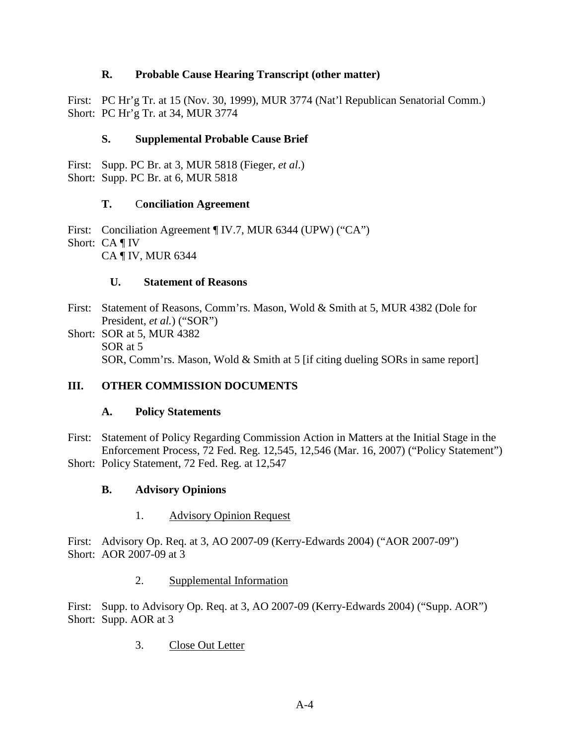#### **R. Probable Cause Hearing Transcript (other matter)**

First: PC Hr'g Tr. at 15 (Nov. 30, 1999), MUR 3774 (Nat'l Republican Senatorial Comm.) Short: PC Hr'g Tr. at 34, MUR 3774

#### **S. Supplemental Probable Cause Brief**

First: Supp. PC Br. at 3, MUR 5818 (Fieger, *et al*.) Short: Supp. PC Br. at 6, MUR 5818

#### **T.** C**onciliation Agreement**

First: Conciliation Agreement ¶ IV.7, MUR 6344 (UPW) ("CA") Short: CA ¶ IV CA ¶ IV, MUR 6344

#### **U. Statement of Reasons**

- First: Statement of Reasons, Comm'rs. Mason, Wold & Smith at 5, MUR 4382 (Dole for President, *et al.*) ("SOR")
- Short: SOR at 5, MUR 4382 SOR at 5 SOR, Comm'rs. Mason, Wold & Smith at 5 [if citing dueling SORs in same report]

#### **III. OTHER COMMISSION DOCUMENTS**

#### **A. Policy Statements**

First: Statement of Policy Regarding Commission Action in Matters at the Initial Stage in the Enforcement Process, 72 Fed. Reg. 12,545, 12,546 (Mar. 16, 2007) ("Policy Statement") Short: Policy Statement, 72 Fed. Reg. at 12,547

#### **B. Advisory Opinions**

1. Advisory Opinion Request

First: Advisory Op. Req. at 3, AO 2007-09 (Kerry-Edwards 2004) ("AOR 2007-09") Short: AOR 2007-09 at 3

#### 2. Supplemental Information

First: Supp. to Advisory Op. Req. at 3, AO 2007-09 (Kerry-Edwards 2004) ("Supp. AOR") Short: Supp. AOR at 3

3. Close Out Letter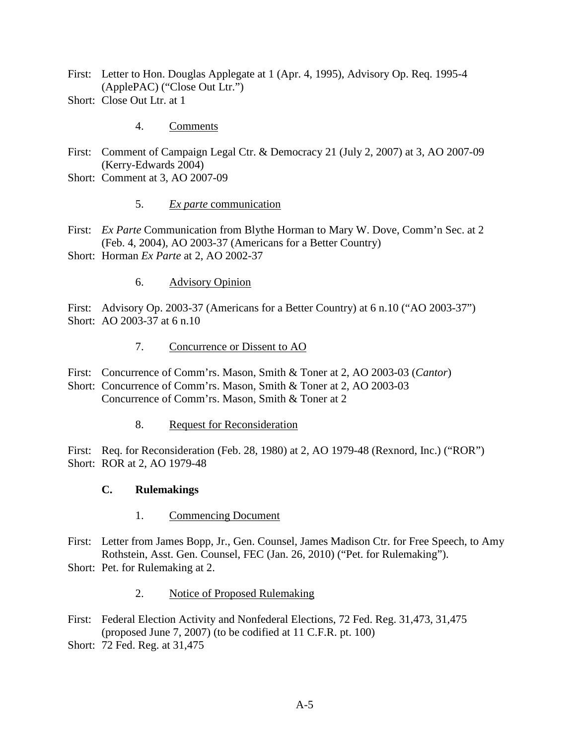- First: Letter to Hon. Douglas Applegate at 1 (Apr. 4, 1995), Advisory Op. Req. 1995-4 (ApplePAC) ("Close Out Ltr.")
- Short: Close Out Ltr. at 1

4. Comments

- First: Comment of Campaign Legal Ctr. & Democracy 21 (July 2, 2007) at 3, AO 2007-09 (Kerry-Edwards 2004)
- Short: Comment at 3, AO 2007-09
	- 5. *Ex parte* communication
- First: *Ex Parte* Communication from Blythe Horman to Mary W. Dove, Comm'n Sec. at 2 (Feb. 4, 2004), AO 2003-37 (Americans for a Better Country)
- Short: Horman *Ex Parte* at 2, AO 2002-37
	- 6. Advisory Opinion

First: Advisory Op. 2003-37 (Americans for a Better Country) at 6 n.10 ("AO 2003-37") Short: AO 2003-37 at 6 n.10

- 7. Concurrence or Dissent to AO
- First: Concurrence of Comm'rs. Mason, Smith & Toner at 2, AO 2003-03 (*Cantor*) Short: Concurrence of Comm'rs. Mason, Smith & Toner at 2, AO 2003-03 Concurrence of Comm'rs. Mason, Smith & Toner at 2
	- 8. Request for Reconsideration

First: Req. for Reconsideration (Feb. 28, 1980) at 2, AO 1979-48 (Rexnord, Inc.) ("ROR") Short: ROR at 2, AO 1979-48

#### **C. Rulemakings**

- 1. Commencing Document
- First: Letter from James Bopp, Jr., Gen. Counsel, James Madison Ctr. for Free Speech, to Amy Rothstein, Asst. Gen. Counsel, FEC (Jan. 26, 2010) ("Pet. for Rulemaking").
- Short: Pet. for Rulemaking at 2.
	- 2. Notice of Proposed Rulemaking
- First: Federal Election Activity and Nonfederal Elections, 72 Fed. Reg. 31,473, 31,475 (proposed June 7, 2007) (to be codified at 11 C.F.R. pt. 100)
- Short: 72 Fed. Reg. at 31,475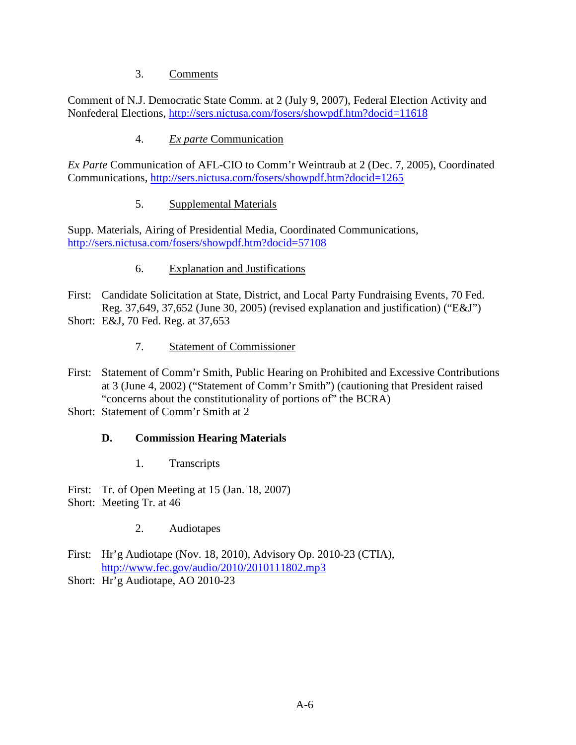#### 3. Comments

Comment of N.J. Democratic State Comm. at 2 (July 9, 2007), Federal Election Activity and Nonfederal Elections, http://sers.nictusa.com/fosers/showpdf.htm?docid=11618

#### 4. *Ex parte* Communication

*Ex Parte* Communication of AFL-CIO to Comm'r Weintraub at 2 (Dec. 7, 2005), Coordinated Communications, http://sers.nictusa.com/fosers/showpdf.htm?docid=1265

#### 5. Supplemental Materials

Supp. Materials, Airing of Presidential Media, Coordinated Communications, http://sers.nictusa.com/fosers/showpdf.htm?docid=57108

#### 6. Explanation and Justifications

- First: Candidate Solicitation at State, District, and Local Party Fundraising Events, 70 Fed. Reg. 37,649, 37,652 (June 30, 2005) (revised explanation and justification) ("E&J") Short: E&J, 70 Fed. Reg. at 37,653
	- 7. Statement of Commissioner
- First: Statement of Comm'r Smith, Public Hearing on Prohibited and Excessive Contributions at 3 (June 4, 2002) ("Statement of Comm'r Smith") (cautioning that President raised "concerns about the constitutionality of portions of" the BCRA)
- Short: Statement of Comm'r Smith at 2

#### **D. Commission Hearing Materials**

1. Transcripts

First: Tr. of Open Meeting at 15 (Jan. 18, 2007)

- Short: Meeting Tr. at 46
	- 2. Audiotapes
- First: Hr'g Audiotape (Nov. 18, 2010), Advisory Op. 2010-23 (CTIA), http://www.fec.gov/audio/2010/2010111802.mp3
- Short: Hr'g Audiotape, AO 2010-23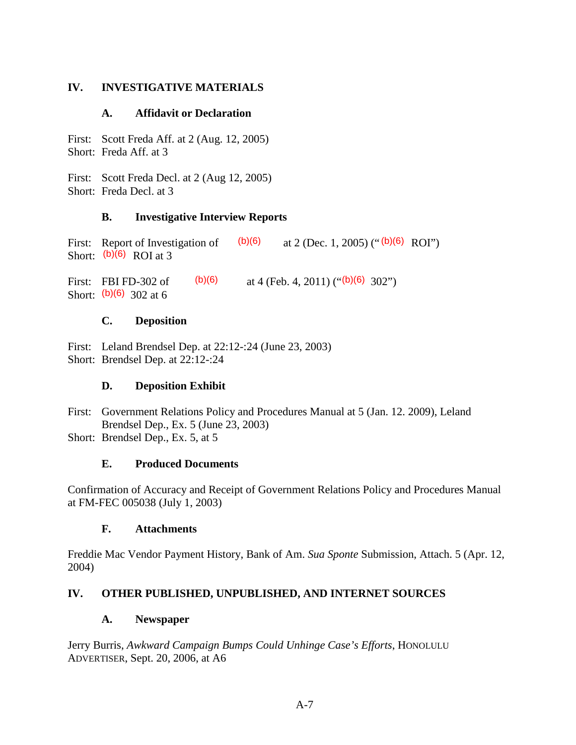#### **IV. INVESTIGATIVE MATERIALS**

#### **A. Affidavit or Declaration**

First: Scott Freda Aff. at 2 (Aug. 12, 2005) Short: Freda Aff. at 3

First: Scott Freda Decl. at 2 (Aug 12, 2005) Short: Freda Decl. at 3

#### **B. Investigative Interview Reports**

First: Report of Investigation of  $(b)(6)$  at 2 (Dec. 1, 2005) (" $(b)(6)$  ROI")<br>Short:  $(b)(6)$  ROI at 3 Short:  $(b)(6)$  ROI at 3

First: FBI FD-302 of  $(b)(6)$  at 4 (Feb. 4, 2011) (" $(b)(6)$  302") Short: (b)(6) 302 at 6

#### **C. Deposition**

First: Leland Brendsel Dep. at 22:12-:24 (June 23, 2003) Short: Brendsel Dep. at 22:12-:24

#### **D. Deposition Exhibit**

First: Government Relations Policy and Procedures Manual at 5 (Jan. 12. 2009), Leland Brendsel Dep., Ex. 5 (June 23, 2003) Short: Brendsel Dep., Ex. 5, at 5

#### **E. Produced Documents**

Confirmation of Accuracy and Receipt of Government Relations Policy and Procedures Manual at FM-FEC 005038 (July 1, 2003)

#### **F. Attachments**

Freddie Mac Vendor Payment History, Bank of Am. *Sua Sponte* Submission, Attach. 5 (Apr. 12, 2004)

#### **IV. OTHER PUBLISHED, UNPUBLISHED, AND INTERNET SOURCES**

#### **A. Newspaper**

Jerry Burris, *Awkward Campaign Bumps Could Unhinge Case's Efforts*, HONOLULU ADVERTISER, Sept. 20, 2006, at A6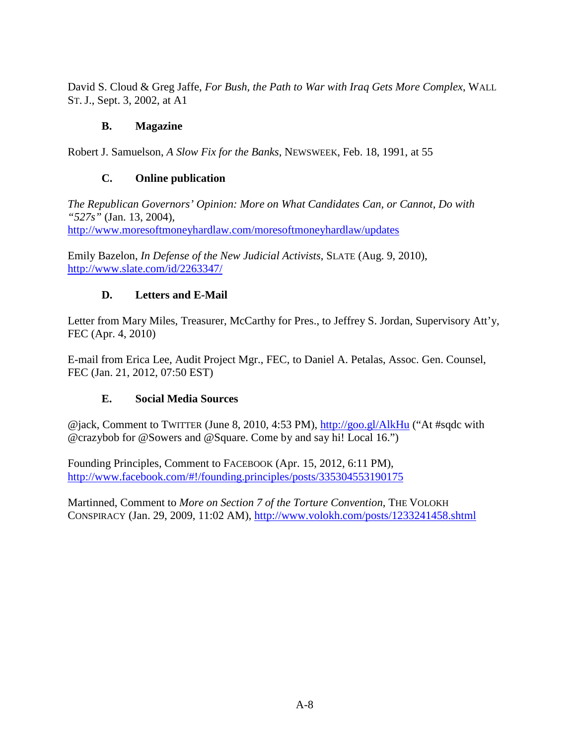David S. Cloud & Greg Jaffe, *For Bush, the Path to War with Iraq Gets More Complex*, WALL ST. J., Sept. 3, 2002, at A1

#### **B. Magazine**

Robert J. Samuelson, *A Slow Fix for the Banks*, NEWSWEEK, Feb. 18, 1991, at 55

#### **C. Online publication**

*The Republican Governors' Opinion: More on What Candidates Can, or Cannot, Do with "527s"* (Jan. 13, 2004), http://www.moresoftmoneyhardlaw.com/moresoftmoneyhardlaw/updates

Emily Bazelon, *In Defense of the New Judicial Activists*, SLATE (Aug. 9, 2010), http://www.slate.com/id/2263347/

#### **D. Letters and E-Mail**

Letter from Mary Miles, Treasurer, McCarthy for Pres., to Jeffrey S. Jordan, Supervisory Att'y, FEC (Apr. 4, 2010)

E-mail from Erica Lee, Audit Project Mgr., FEC, to Daniel A. Petalas, Assoc. Gen. Counsel, FEC (Jan. 21, 2012, 07:50 EST)

#### **E. Social Media Sources**

@jack, Comment to TWITTER (June 8, 2010, 4:53 PM), http://goo.gl/AlkHu ("At #sqdc with @crazybob for @Sowers and @Square. Come by and say hi! Local 16.")

Founding Principles, Comment to FACEBOOK (Apr. 15, 2012, 6:11 PM), http://www.facebook.com/#!/founding.principles/posts/335304553190175

Martinned, Comment to *More on Section 7 of the Torture Convention*, THE VOLOKH CONSPIRACY (Jan. 29, 2009, 11:02 AM), http://www.volokh.com/posts/1233241458.shtml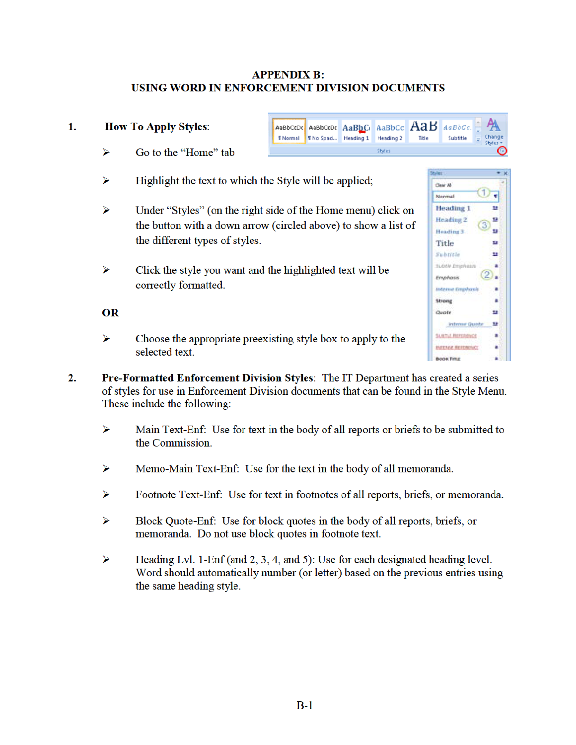#### **APPENDIX B:** USING WORD IN ENFORCEMENT DIVISION DOCUMENTS

#### **How To Apply Styles:** AaB AaBbCcDr AaBbCcDr AaBbCr AaBbCc  $A \alpha B b C c$ **Thormal** Tho Spaci... Heading 1 Heading 2 Title Subtitle ⋗ Go to the "Home" tab Styles

- ⋗ Highlight the text to which the Style will be applied;
- $\triangleright$ Under "Styles" (on the right side of the Home menu) click on the button with a down arrow (circled above) to show a list of the different types of styles.
- $\triangleright$ Click the style you want and the highlighted text will be correctly formatted.

#### **OR**

1.

- $\triangleright$ Choose the appropriate preexisting style box to apply to the selected text.
- $2.$ Pre-Formatted Enforcement Division Styles: The IT Department has created a series of styles for use in Enforcement Division documents that can be found in the Style Menu. These include the following:
	- $\triangleright$ Main Text-Enf: Use for text in the body of all reports or briefs to be submitted to the Commission.
	- $\triangleright$ Memo-Main Text-Enf: Use for the text in the body of all memoranda.
	- $\triangleright$ Footnote Text-Enf: Use for text in footnotes of all reports, briefs, or memoranda.
	- Block Quote-Enf: Use for block quotes in the body of all reports, briefs, or ⋗ memoranda. Do not use block quotes in footnote text.
	- Heading Lvl. 1-Enf (and 2, 3, 4, and 5): Use for each designated heading level.  $\triangleright$ Word should automatically number (or letter) based on the previous entries using the same heading style.